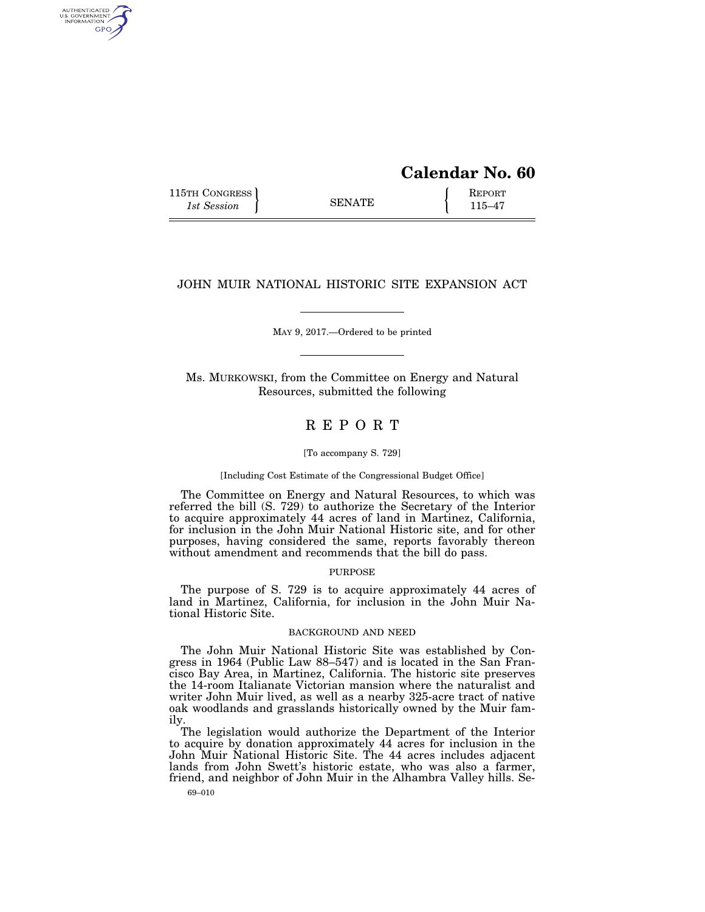# **Calendar No. 60**

115TH CONGRESS REPORT 115 115-47

AUTHENTICATED<br>U.S. GOVERNMENT<br>INFORMATION GPO

## JOHN MUIR NATIONAL HISTORIC SITE EXPANSION ACT

MAY 9, 2017.—Ordered to be printed

Ms. MURKOWSKI, from the Committee on Energy and Natural Resources, submitted the following

# R E P O R T

#### [To accompany S. 729]

#### [Including Cost Estimate of the Congressional Budget Office]

The Committee on Energy and Natural Resources, to which was referred the bill (S. 729) to authorize the Secretary of the Interior to acquire approximately 44 acres of land in Martinez, California, for inclusion in the John Muir National Historic site, and for other purposes, having considered the same, reports favorably thereon without amendment and recommends that the bill do pass.

#### PURPOSE

The purpose of S. 729 is to acquire approximately 44 acres of land in Martinez, California, for inclusion in the John Muir National Historic Site.

#### BACKGROUND AND NEED

The John Muir National Historic Site was established by Congress in 1964 (Public Law 88–547) and is located in the San Francisco Bay Area, in Martinez, California. The historic site preserves the 14-room Italianate Victorian mansion where the naturalist and writer John Muir lived, as well as a nearby 325-acre tract of native oak woodlands and grasslands historically owned by the Muir family.

The legislation would authorize the Department of the Interior to acquire by donation approximately 44 acres for inclusion in the John Muir National Historic Site. The 44 acres includes adjacent lands from John Swett's historic estate, who was also a farmer, friend, and neighbor of John Muir in the Alhambra Valley hills. Se-

69–010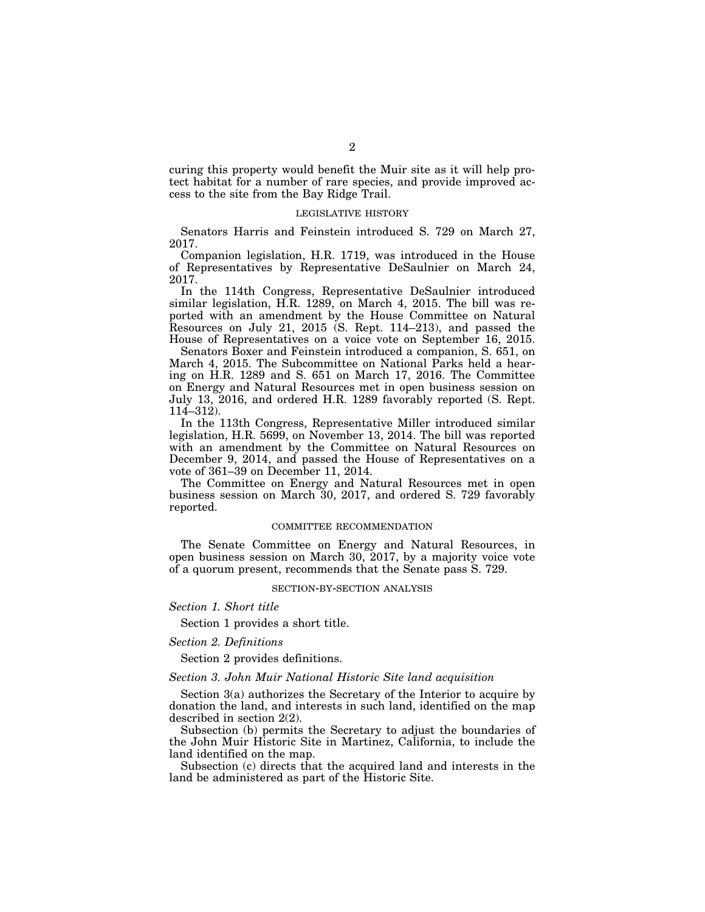curing this property would benefit the Muir site as it will help protect habitat for a number of rare species, and provide improved access to the site from the Bay Ridge Trail.

### LEGISLATIVE HISTORY

Senators Harris and Feinstein introduced S. 729 on March 27, 2017.

Companion legislation, H.R. 1719, was introduced in the House of Representatives by Representative DeSaulnier on March 24, 2017.

In the 114th Congress, Representative DeSaulnier introduced similar legislation, H.R. 1289, on March 4, 2015. The bill was reported with an amendment by the House Committee on Natural Resources on July 21, 2015 (S. Rept. 114–213), and passed the House of Representatives on a voice vote on September 16, 2015.

Senators Boxer and Feinstein introduced a companion, S. 651, on March 4, 2015. The Subcommittee on National Parks held a hearing on H.R. 1289 and S. 651 on March 17, 2016. The Committee on Energy and Natural Resources met in open business session on July 13, 2016, and ordered H.R. 1289 favorably reported (S. Rept. 114–312).

In the 113th Congress, Representative Miller introduced similar legislation, H.R. 5699, on November 13, 2014. The bill was reported with an amendment by the Committee on Natural Resources on December 9, 2014, and passed the House of Representatives on a vote of 361–39 on December 11, 2014.

The Committee on Energy and Natural Resources met in open business session on March 30, 2017, and ordered S. 729 favorably reported.

#### COMMITTEE RECOMMENDATION

The Senate Committee on Energy and Natural Resources, in open business session on March 30, 2017, by a majority voice vote of a quorum present, recommends that the Senate pass S. 729.

#### SECTION-BY-SECTION ANALYSIS

*Section 1. Short title* 

Section 1 provides a short title.

*Section 2. Definitions* 

Section 2 provides definitions.

#### *Section 3. John Muir National Historic Site land acquisition*

Section 3(a) authorizes the Secretary of the Interior to acquire by donation the land, and interests in such land, identified on the map described in section 2(2).

Subsection (b) permits the Secretary to adjust the boundaries of the John Muir Historic Site in Martinez, California, to include the land identified on the map.

Subsection (c) directs that the acquired land and interests in the land be administered as part of the Historic Site.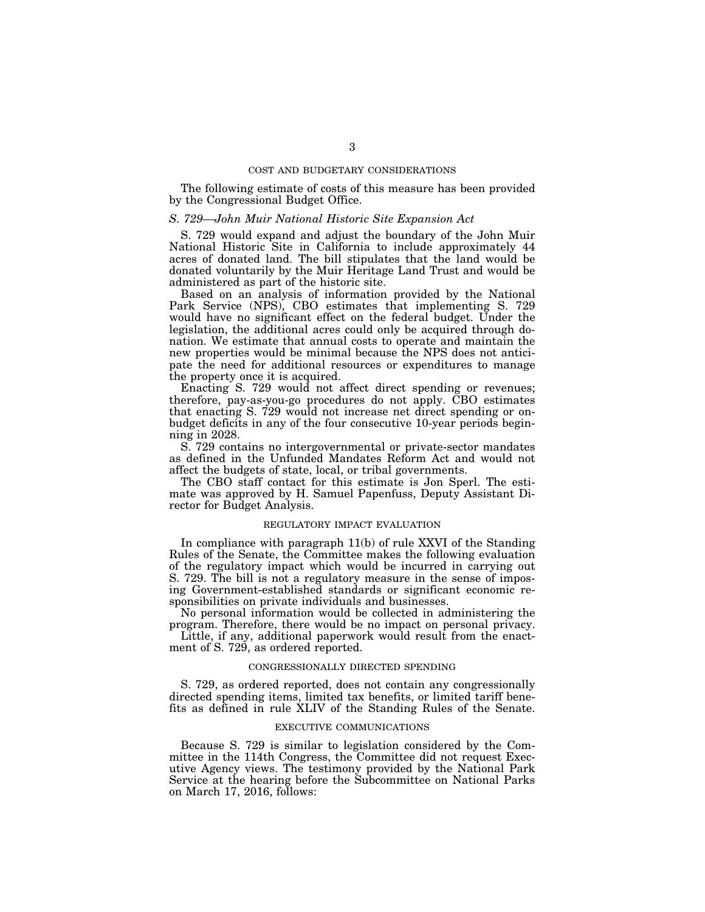#### COST AND BUDGETARY CONSIDERATIONS

The following estimate of costs of this measure has been provided by the Congressional Budget Office.

#### *S. 729—John Muir National Historic Site Expansion Act*

S. 729 would expand and adjust the boundary of the John Muir National Historic Site in California to include approximately 44 acres of donated land. The bill stipulates that the land would be donated voluntarily by the Muir Heritage Land Trust and would be administered as part of the historic site.

Based on an analysis of information provided by the National Park Service (NPS), CBO estimates that implementing S. 729 would have no significant effect on the federal budget. Under the legislation, the additional acres could only be acquired through donation. We estimate that annual costs to operate and maintain the new properties would be minimal because the NPS does not anticipate the need for additional resources or expenditures to manage the property once it is acquired.

Enacting S. 729 would not affect direct spending or revenues; therefore, pay-as-you-go procedures do not apply. CBO estimates that enacting S. 729 would not increase net direct spending or onbudget deficits in any of the four consecutive 10-year periods beginning in 2028.

S. 729 contains no intergovernmental or private-sector mandates as defined in the Unfunded Mandates Reform Act and would not affect the budgets of state, local, or tribal governments.

The CBO staff contact for this estimate is Jon Sperl. The estimate was approved by H. Samuel Papenfuss, Deputy Assistant Director for Budget Analysis.

#### REGULATORY IMPACT EVALUATION

In compliance with paragraph 11(b) of rule XXVI of the Standing Rules of the Senate, the Committee makes the following evaluation of the regulatory impact which would be incurred in carrying out S. 729. The bill is not a regulatory measure in the sense of imposing Government-established standards or significant economic responsibilities on private individuals and businesses.

No personal information would be collected in administering the program. Therefore, there would be no impact on personal privacy.

Little, if any, additional paperwork would result from the enactment of S. 729, as ordered reported.

#### CONGRESSIONALLY DIRECTED SPENDING

S. 729, as ordered reported, does not contain any congressionally directed spending items, limited tax benefits, or limited tariff benefits as defined in rule XLIV of the Standing Rules of the Senate.

#### EXECUTIVE COMMUNICATIONS

Because S. 729 is similar to legislation considered by the Committee in the 114th Congress, the Committee did not request Executive Agency views. The testimony provided by the National Park Service at the hearing before the Subcommittee on National Parks on March 17, 2016, follows: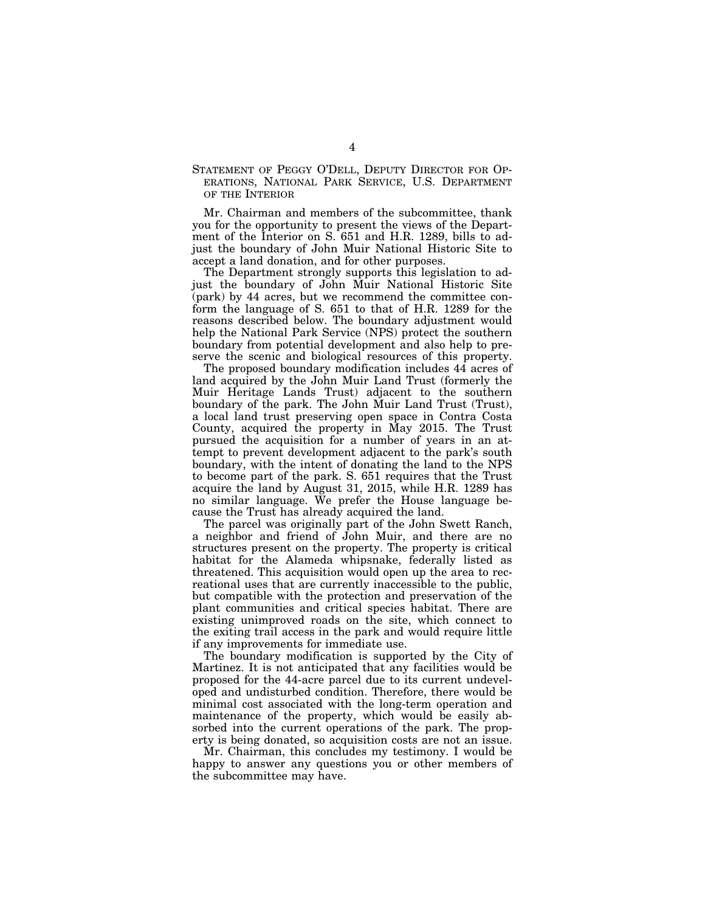### STATEMENT OF PEGGY O'DELL, DEPUTY DIRECTOR FOR OP-ERATIONS, NATIONAL PARK SERVICE, U.S. DEPARTMENT OF THE INTERIOR

Mr. Chairman and members of the subcommittee, thank you for the opportunity to present the views of the Department of the Interior on S. 651 and H.R. 1289, bills to adjust the boundary of John Muir National Historic Site to accept a land donation, and for other purposes.

The Department strongly supports this legislation to adjust the boundary of John Muir National Historic Site (park) by 44 acres, but we recommend the committee conform the language of S. 651 to that of H.R. 1289 for the reasons described below. The boundary adjustment would help the National Park Service (NPS) protect the southern boundary from potential development and also help to preserve the scenic and biological resources of this property.

The proposed boundary modification includes 44 acres of land acquired by the John Muir Land Trust (formerly the Muir Heritage Lands Trust) adjacent to the southern boundary of the park. The John Muir Land Trust (Trust), a local land trust preserving open space in Contra Costa County, acquired the property in May 2015. The Trust pursued the acquisition for a number of years in an attempt to prevent development adjacent to the park's south boundary, with the intent of donating the land to the NPS to become part of the park. S. 651 requires that the Trust acquire the land by August 31, 2015, while H.R. 1289 has no similar language. We prefer the House language because the Trust has already acquired the land.

The parcel was originally part of the John Swett Ranch, a neighbor and friend of John Muir, and there are no structures present on the property. The property is critical habitat for the Alameda whipsnake, federally listed as threatened. This acquisition would open up the area to recreational uses that are currently inaccessible to the public, but compatible with the protection and preservation of the plant communities and critical species habitat. There are existing unimproved roads on the site, which connect to the exiting trail access in the park and would require little if any improvements for immediate use.

The boundary modification is supported by the City of Martinez. It is not anticipated that any facilities would be proposed for the 44-acre parcel due to its current undeveloped and undisturbed condition. Therefore, there would be minimal cost associated with the long-term operation and maintenance of the property, which would be easily absorbed into the current operations of the park. The property is being donated, so acquisition costs are not an issue.

Mr. Chairman, this concludes my testimony. I would be happy to answer any questions you or other members of the subcommittee may have.